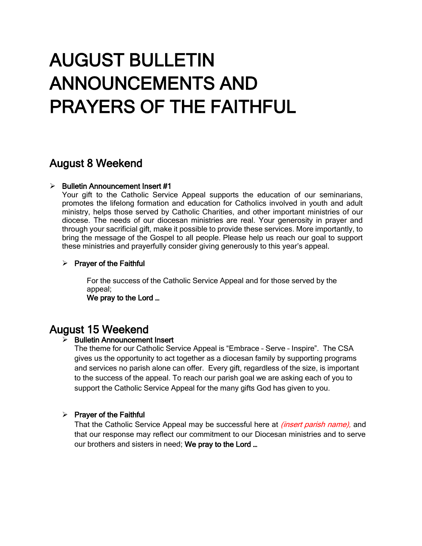# AUGUST BULLETIN ANNOUNCEMENTS AND PRAYERS OF THE FAITHFUL

## August 8 Weekend

### $\triangleright$  Bulletin Announcement Insert #1

Your gift to the Catholic Service Appeal supports the education of our seminarians, promotes the lifelong formation and education for Catholics involved in youth and adult ministry, helps those served by Catholic Charities, and other important ministries of our diocese. The needs of our diocesan ministries are real. Your generosity in prayer and through your sacrificial gift, make it possible to provide these services. More importantly, to bring the message of the Gospel to all people. Please help us reach our goal to support these ministries and prayerfully consider giving generously to this year's appeal.

### $\triangleright$  Prayer of the Faithful

For the success of the Catholic Service Appeal and for those served by the appeal;

We pray to the Lord …

## August 15 Weekend

## ➢ Bulletin Announcement Insert

The theme for our Catholic Service Appeal is "Embrace – Serve – Inspire". The CSA gives us the opportunity to act together as a diocesan family by supporting programs and services no parish alone can offer. Every gift, regardless of the size, is important to the success of the appeal. To reach our parish goal we are asking each of you to support the Catholic Service Appeal for the many gifts God has given to you.

## $\triangleright$  Prayer of the Faithful

That the Catholic Service Appeal may be successful here at *(insert parish name)*, and that our response may reflect our commitment to our Diocesan ministries and to serve our brothers and sisters in need; We pray to the Lord ...